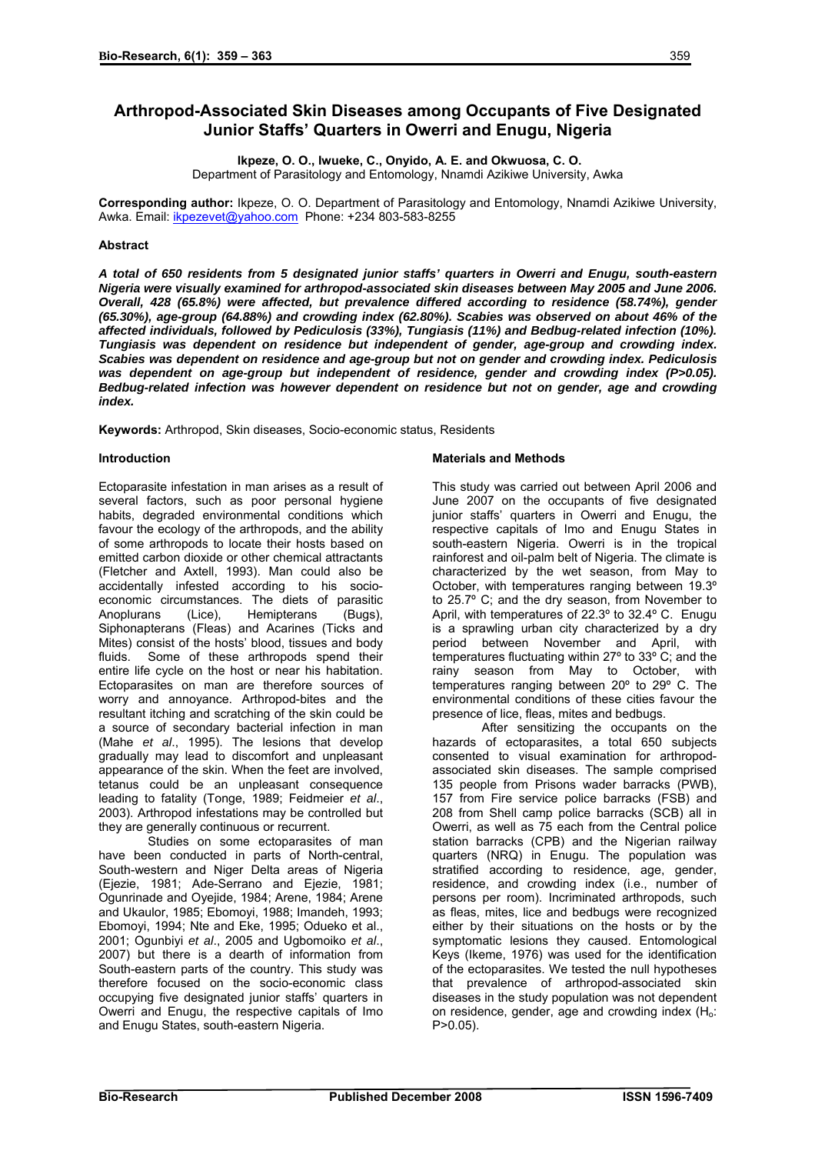# **Arthropod-Associated Skin Diseases among Occupants of Five Designated Junior Staffs' Quarters in Owerri and Enugu, Nigeria**

 **Ikpeze, O. O., Iwueke, C., Onyido, A. E. and Okwuosa, C. O.**  Department of Parasitology and Entomology, Nnamdi Azikiwe University, Awka

**Corresponding author:** Ikpeze, O. O. Department of Parasitology and Entomology, Nnamdi Azikiwe University, Awka. Email: [ikpezevet@yahoo.com](mailto:ikpezevet@yahoo.com) Phone: +234 803-583-8255

## **Abstract**

*A total of 650 residents from 5 designated junior staffs' quarters in Owerri and Enugu, south-eastern Nigeria were visually examined for arthropod-associated skin diseases between May 2005 and June 2006. Overall, 428 (65.8%) were affected, but prevalence differed according to residence (58.74%), gender (65.30%), age-group (64.88%) and crowding index (62.80%). Scabies was observed on about 46% of the affected individuals, followed by Pediculosis (33%), Tungiasis (11%) and Bedbug-related infection (10%). Tungiasis was dependent on residence but independent of gender, age-group and crowding index. Scabies was dependent on residence and age-group but not on gender and crowding index. Pediculosis was dependent on age-group but independent of residence, gender and crowding index (P>0.05). Bedbug-related infection was however dependent on residence but not on gender, age and crowding index.* 

**Keywords:** Arthropod, Skin diseases, Socio-economic status, Residents

### **Introduction**

Ectoparasite infestation in man arises as a result of several factors, such as poor personal hygiene habits, degraded environmental conditions which favour the ecology of the arthropods, and the ability of some arthropods to locate their hosts based on emitted carbon dioxide or other chemical attractants (Fletcher and Axtell, 1993). Man could also be accidentally infested according to his socioeconomic circumstances. The diets of parasitic Anoplurans (Lice), Hemipterans (Bugs), Siphonapterans (Fleas) and Acarines (Ticks and Mites) consist of the hosts' blood, tissues and body fluids. Some of these arthropods spend their entire life cycle on the host or near his habitation. Ectoparasites on man are therefore sources of worry and annoyance. Arthropod-bites and the resultant itching and scratching of the skin could be a source of secondary bacterial infection in man (Mahe *et al*., 1995). The lesions that develop gradually may lead to discomfort and unpleasant appearance of the skin. When the feet are involved, tetanus could be an unpleasant consequence leading to fatality (Tonge, 1989; Feidmeier *et al*., 2003). Arthropod infestations may be controlled but they are generally continuous or recurrent.

Studies on some ectoparasites of man have been conducted in parts of North-central, South-western and Niger Delta areas of Nigeria (Ejezie, 1981; Ade-Serrano and Ejezie, 1981; Ogunrinade and Oyejide, 1984; Arene, 1984; Arene and Ukaulor, 1985; Ebomoyi, 1988; Imandeh, 1993; Ebomoyi, 1994; Nte and Eke, 1995; Odueko et al., 2001; Ogunbiyi *et al*., 2005 and Ugbomoiko *et al*., 2007) but there is a dearth of information from South-eastern parts of the country. This study was therefore focused on the socio-economic class occupying five designated junior staffs' quarters in Owerri and Enugu, the respective capitals of Imo and Enugu States, south-eastern Nigeria.

## **Materials and Methods**

This study was carried out between April 2006 and June 2007 on the occupants of five designated junior staffs' quarters in Owerri and Enugu, the respective capitals of Imo and Enugu States in south-eastern Nigeria. Owerri is in the tropical rainforest and oil-palm belt of Nigeria. The climate is characterized by the wet season, from May to October, with temperatures ranging between 19.3º to 25.7º C; and the dry season, from November to April, with temperatures of 22.3º to 32.4º C. Enugu is a sprawling urban city characterized by a dry period between November and April, with temperatures fluctuating within 27º to 33º C; and the rainy season from May to October, with temperatures ranging between 20º to 29º C. The environmental conditions of these cities favour the presence of lice, fleas, mites and bedbugs.

After sensitizing the occupants on the hazards of ectoparasites, a total 650 subjects consented to visual examination for arthropodassociated skin diseases. The sample comprised 135 people from Prisons wader barracks (PWB), 157 from Fire service police barracks (FSB) and 208 from Shell camp police barracks (SCB) all in Owerri, as well as 75 each from the Central police station barracks (CPB) and the Nigerian railway quarters (NRQ) in Enugu. The population was stratified according to residence, age, gender, residence, and crowding index (i.e., number of persons per room). Incriminated arthropods, such as fleas, mites, lice and bedbugs were recognized either by their situations on the hosts or by the symptomatic lesions they caused. Entomological Keys (Ikeme, 1976) was used for the identification of the ectoparasites. We tested the null hypotheses that prevalence of arthropod-associated skin diseases in the study population was not dependent on residence, gender, age and crowding index  $(H_0)$ . P>0.05).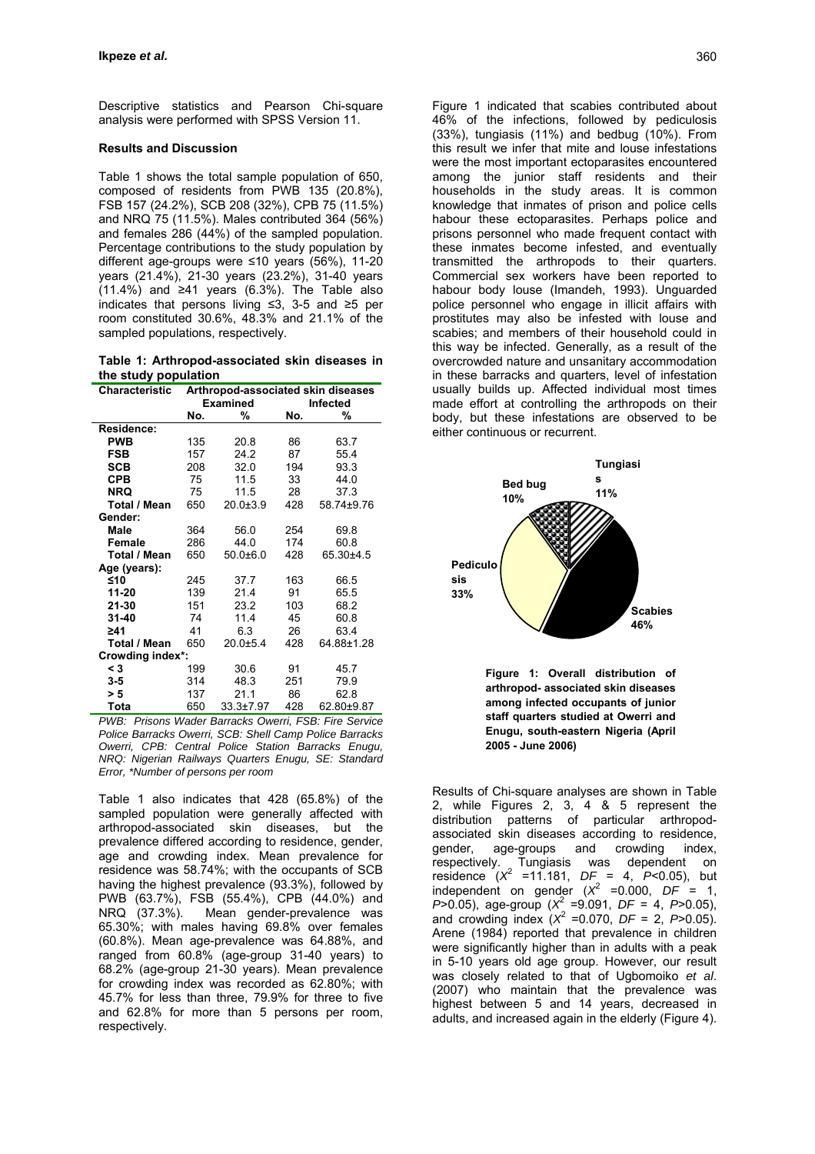Descriptive statistics and Pearson Chi-square analysis were performed with SPSS Version 11.

#### **Results and Discussion**

Table 1 shows the total sample population of 650, composed of residents from PWB 135 (20.8%), FSB 157 (24.2%), SCB 208 (32%), CPB 75 (11.5%) and NRQ 75 (11.5%). Males contributed 364 (56%) and females 286 (44%) of the sampled population. Percentage contributions to the study population by different age-groups were ≤10 years (56%), 11-20 years (21.4%), 21-30 years (23.2%), 31-40 years  $(11.4\%)$  and ≥41 years  $(6.3\%)$ . The Table also indicates that persons living ≤3, 3-5 and ≥5 per room constituted 30.6%, 48.3% and 21.1% of the sampled populations, respectively.

**Table 1: Arthropod-associated skin diseases in the study population** 

| <b>Characteristic</b> | Arthropod-associated skin diseases |                 |          |            |  |  |  |  |  |
|-----------------------|------------------------------------|-----------------|----------|------------|--|--|--|--|--|
|                       |                                    | <b>Examined</b> | Infected |            |  |  |  |  |  |
|                       | No.                                | %               | No.      | %          |  |  |  |  |  |
| Residence:            |                                    |                 |          |            |  |  |  |  |  |
| <b>PWB</b>            | 135                                | 20.8            | 86       | 63.7       |  |  |  |  |  |
| <b>FSB</b>            | 157                                | 24.2            | 87       | 55.4       |  |  |  |  |  |
| SCB                   | 208                                | 32.0            | 194      | 93.3       |  |  |  |  |  |
| <b>CPB</b>            | 75                                 | 11.5            | 33       | 44.0       |  |  |  |  |  |
| <b>NRQ</b>            | 75                                 | 11.5            | 28       | 37.3       |  |  |  |  |  |
| Total / Mean          | 650                                | $20.0 \pm 3.9$  | 428      | 58.74±9.76 |  |  |  |  |  |
| Gender:               |                                    |                 |          |            |  |  |  |  |  |
| Male                  | 364                                | 56.0            | 254      | 69.8       |  |  |  |  |  |
| Female                | 286                                | 44.0            | 174      | 60.8       |  |  |  |  |  |
| Total / Mean          | 650                                | $50.0 + 6.0$    | 428      | 65.30±4.5  |  |  |  |  |  |
| Age (years):          |                                    |                 |          |            |  |  |  |  |  |
| ≤10                   | 245                                | 37.7            | 163      | 66.5       |  |  |  |  |  |
| 11-20                 | 139                                | 21.4            | 91       | 65.5       |  |  |  |  |  |
| 21-30                 | 151                                | 23.2            | 103      | 68.2       |  |  |  |  |  |
| $31 - 40$             | 74                                 | 11.4            | 45       | 60.8       |  |  |  |  |  |
| ≥41                   | 41                                 | 6.3             | 26       | 63.4       |  |  |  |  |  |
| Total / Mean          | 650                                | $20.0 + 5.4$    | 428      | 64.88±1.28 |  |  |  |  |  |
| Crowding index*:      |                                    |                 |          |            |  |  |  |  |  |
| < 3                   | 199                                | 30.6            | 91       | 45.7       |  |  |  |  |  |
| $3-5$                 | 314                                | 48.3            | 251      | 79.9       |  |  |  |  |  |
| > 5                   | 137                                | 21.1            | 86       | 62.8       |  |  |  |  |  |
| Tota                  | 650                                | $33.3 \pm 7.97$ | 428      | 62.80±9.87 |  |  |  |  |  |

*PWB: Prisons Wader Barracks Owerri, FSB: Fire Service Police Barracks Owerri, SCB: Shell Camp Police Barracks Owerri, CPB: Central Police Station Barracks Enugu, NRQ: Nigerian Railways Quarters Enugu, SE: Standard Error, \*Number of persons per room*

Table 1 also indicates that 428 (65.8%) of the sampled population were generally affected with arthropod-associated skin diseases, but the prevalence differed according to residence, gender, age and crowding index. Mean prevalence for residence was 58.74%; with the occupants of SCB having the highest prevalence (93.3%), followed by PWB (63.7%), FSB (55.4%), CPB (44.0%) and Mean gender-prevalence was 65.30%; with males having 69.8% over females (60.8%). Mean age-prevalence was 64.88%, and ranged from 60.8% (age-group 31-40 years) to 68.2% (age-group 21-30 years). Mean prevalence for crowding index was recorded as 62.80%; with 45.7% for less than three, 79.9% for three to five and 62.8% for more than 5 persons per room, respectively.

Figure 1 indicated that scabies contributed about 46% of the infections, followed by pediculosis (33%), tungiasis (11%) and bedbug (10%). From this result we infer that mite and louse infestations were the most important ectoparasites encountered among the junior staff residents and their households in the study areas. It is common knowledge that inmates of prison and police cells habour these ectoparasites. Perhaps police and prisons personnel who made frequent contact with these inmates become infested, and eventually transmitted the arthropods to their quarters. Commercial sex workers have been reported to habour body louse (Imandeh, 1993). Unguarded police personnel who engage in illicit affairs with prostitutes may also be infested with louse and scabies; and members of their household could in this way be infected. Generally, as a result of the overcrowded nature and unsanitary accommodation in these barracks and quarters, level of infestation usually builds up. Affected individual most times made effort at controlling the arthropods on their body, but these infestations are observed to be either continuous or recurrent.



**Figure 1: Overall distribution of arthropod- associated skin diseases among infected occupants of junior staff quarters studied at Owerri and Enugu, south-eastern Nigeria (April 2005 - June 2006)** 

Results of Chi-square analyses are shown in Table 2, while Figures 2, 3, 4 & 5 represent the distribution patterns of particular arthropodassociated skin diseases according to residence, gender, age-groups and crowding index, respectively. Tungiasis was dependent on residence (*X*<sup>2</sup> =11.181, *DF* = 4, *P*<0.05), but independent on gender  $(X^2 = 0.000, DF = 1,$ *P*>0.05), age-group (*X*<sup>2</sup> =9.091, *DF* = 4, *P*>0.05), and crowding index  $(X^2 = 0.070, DF = 2, P > 0.05)$ . Arene (1984) reported that prevalence in children were significantly higher than in adults with a peak in 5-10 years old age group. However, our result was closely related to that of Ugbomoiko *et al*. (2007) who maintain that the prevalence was highest between 5 and 14 years, decreased in adults, and increased again in the elderly (Figure 4).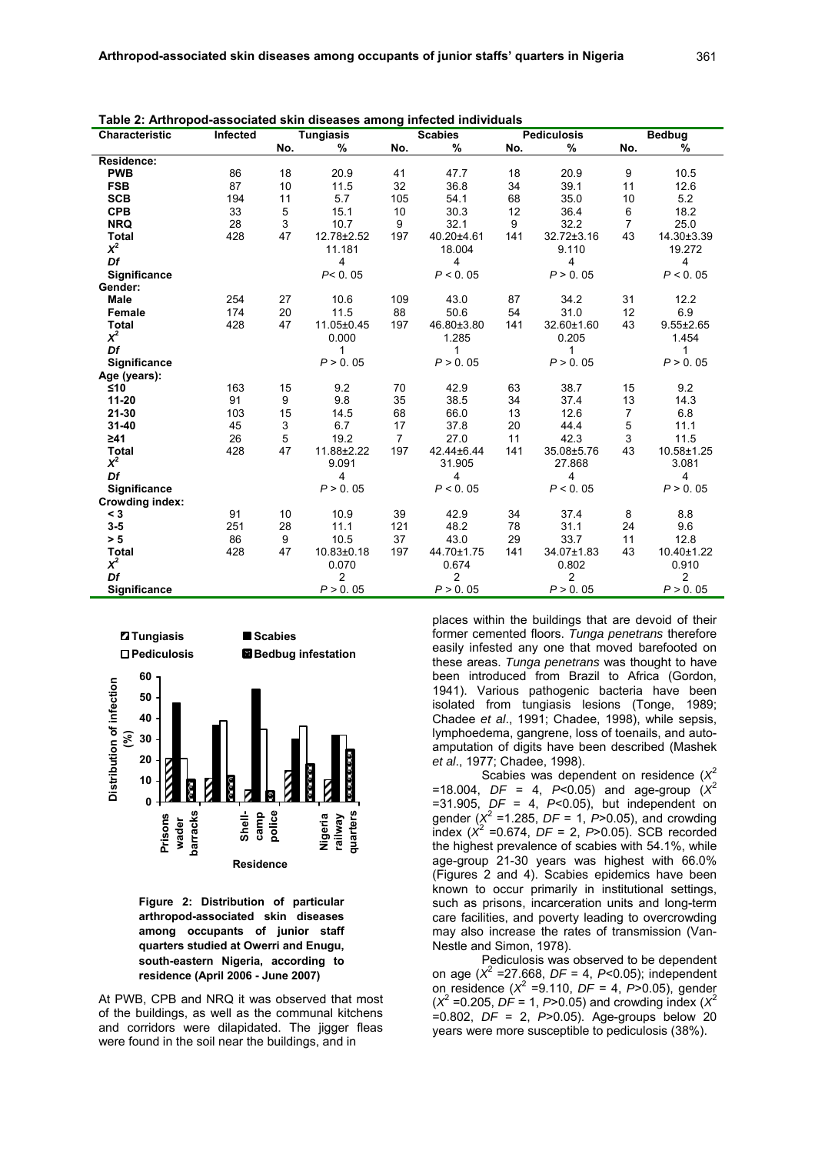| Characteristic         | Infected |     | <b>Tungiasis</b> | <b>Scabies</b> |                 | <b>Pediculosis</b> |            | <b>Bedbug</b>  |                 |
|------------------------|----------|-----|------------------|----------------|-----------------|--------------------|------------|----------------|-----------------|
|                        |          | No. | %                | No.            | %               | No.                | %          | No.            | %               |
| Residence:             |          |     |                  |                |                 |                    |            |                |                 |
| <b>PWB</b>             | 86       | 18  | 20.9             | 41             | 47.7            | 18                 | 20.9       | 9              | 10.5            |
| <b>FSB</b>             | 87       | 10  | 11.5             | 32             | 36.8            | 34                 | 39.1       | 11             | 12.6            |
| <b>SCB</b>             | 194      | 11  | 5.7              | 105            | 54.1            | 68                 | 35.0       | 10             | 5.2             |
| <b>CPB</b>             | 33       | 5   | 15.1             | 10             | 30.3            | 12                 | 36.4       | 6              | 18.2            |
| <b>NRQ</b>             | 28       | 3   | 10.7             | 9              | 32.1            | 9                  | 32.2       | 7              | 25.0            |
| <b>Total</b>           | 428      | 47  | 12.78±2.52       | 197            | 40.20±4.61      | 141                | 32.72±3.16 | 43             | 14.30±3.39      |
| $x^2$                  |          |     | 11.181           |                | 9.110<br>18.004 |                    |            |                | 19.272          |
| Df                     |          |     | 4                |                | 4               |                    | 4          |                | 4               |
| Significance           |          |     | P < 0.05         |                | P < 0.05        |                    | P > 0.05   |                | P < 0.05        |
| Gender:                |          |     |                  |                |                 |                    |            |                |                 |
| <b>Male</b>            | 254      | 27  | 10.6             | 109            | 43.0            | 87                 | 34.2       | 31             | 12.2            |
| Female                 | 174      | 20  | 11.5             | 88             | 50.6            | 54                 | 31.0       | 12             | 6.9             |
| <b>Total</b>           | 428      | 47  | 11.05±0.45       | 197            | 46.80±3.80      | 141                | 32.60±1.60 | 43             | $9.55 \pm 2.65$ |
| $x^2$                  |          |     | 0.000            |                | 1.285           |                    | 0.205      |                | 1.454           |
| Df                     |          |     | 1                |                | 1               |                    | 1          |                | 1               |
| <b>Significance</b>    |          |     | P > 0.05         |                | P > 0.05        |                    | P > 0.05   |                | P > 0.05        |
| Age (years):           |          |     |                  |                |                 |                    |            |                |                 |
| ≤10                    | 163      | 15  | 9.2              | 70             | 42.9            | 63                 | 38.7       | 15             | 9.2             |
| $11 - 20$              | 91       | 9   | 9.8              | 35             | 38.5            | 34                 | 37.4       | 13             | 14.3            |
| 21-30                  | 103      | 15  | 14.5             | 68             | 66.0            | 13                 | 12.6       | $\overline{7}$ | 6.8             |
| $31 - 40$              | 45       | 3   | 6.7              | 17             | 37.8            | 20                 | 44.4       | 5              | 11.1            |
| $\geq 41$              | 26       | 5   | 19.2             | 7              | 27.0            | 11                 | 42.3       | 3              | 11.5            |
| <b>Total</b>           | 428      | 47  | 11.88±2.22       | 197            | 42.44±6.44      | 141                | 35.08±5.76 | 43             | 10.58±1.25      |
| $\chi^2$               |          |     | 9.091            |                | 31.905          |                    | 27.868     |                | 3.081           |
| Df                     |          |     | 4                |                | 4               |                    | 4          |                | 4               |
| <b>Significance</b>    |          |     | P > 0.05         |                | P < 0.05        |                    | P < 0.05   |                | P > 0.05        |
| <b>Crowding index:</b> |          |     |                  |                |                 |                    |            |                |                 |
| < 3                    | 91       | 10  | 10.9             | 39             | 42.9            | 34                 | 37.4       | 8              | 8.8             |
| $3 - 5$                | 251      | 28  | 11.1             | 121            | 48.2            | 78                 | 31.1       | 24             | 9.6             |
| > 5                    | 86       | 9   | 10.5             | 37             | 43.0            | 29                 | 33.7       | 11             | 12.8            |
| <b>Total</b><br>$x^2$  | 428      | 47  | 10.83±0.18       | 197            | 44.70±1.75      | 141                | 34.07±1.83 | 43             | 10.40±1.22      |
| Df                     |          |     | 0.070            |                | 0.674           |                    | 0.802      |                | 0.910           |
|                        |          |     | 2                |                | $\overline{2}$  |                    | 2          |                | $\overline{2}$  |
| Significance           |          |     | P > 0.05         |                | P > 0.05        |                    | P > 0.05   |                | P > 0.05        |

**Table 2: Arthropod-associated skin diseases among infected individuals** 



**Figure 2: Distribution of particular arthropod-associated skin diseases among occupants of junior staff quarters studied at Owerri and Enugu, south-eastern Nigeria, according to residence (April 2006 - June 2007)**

At PWB, CPB and NRQ it was observed that most of the buildings, as well as the communal kitchens and corridors were dilapidated. The jigger fleas were found in the soil near the buildings, and in

places within the buildings that are devoid of their former cemented floors. *Tunga penetrans* therefore easily infested any one that moved barefooted on these areas. *Tunga penetrans* was thought to have been introduced from Brazil to Africa (Gordon, 1941). Various pathogenic bacteria have been isolated from tungiasis lesions (Tonge, 1989; Chadee *et al*., 1991; Chadee, 1998), while sepsis, lymphoedema, gangrene, loss of toenails, and autoamputation of digits have been described (Mashek *et al*., 1977; Chadee, 1998).

Scabies was dependent on residence (*X*<sup>2</sup>  $=$  18.004, *DF* = 4, *P*<0.05) and age-group  $(X^2)$ =31.905, *DF* = 4, *P*<0.05), but independent on gender ( $X^2$  =1.285, *DF* = 1,  $P > 0.05$ ), and crowding  $\frac{1}{2}$  ( $\chi^2$  =0.674, *DF* = 2, *P*>0.05). SCB recorded the highest prevalence of scabies with 54.1%, while age-group 21-30 years was highest with 66.0% (Figures 2 and 4). Scabies epidemics have been known to occur primarily in institutional settings, such as prisons, incarceration units and long-term care facilities, and poverty leading to overcrowding may also increase the rates of transmission (Van-Nestle and Simon, 1978).

Pediculosis was observed to be dependent on age (*X*<sup>2</sup> =27.668, *DF* = 4, *P*<0.05); independent on residence (*X*<sup>2</sup> =9.110, *DF* = 4, *P*>0.05), gender  $(X^2 = 0.205, DF = 1, P > 0.05)$  and crowding index  $(X^2)$ =0.802, *DF* = 2, *P*>0.05). Age-groups below 20 years were more susceptible to pediculosis (38%).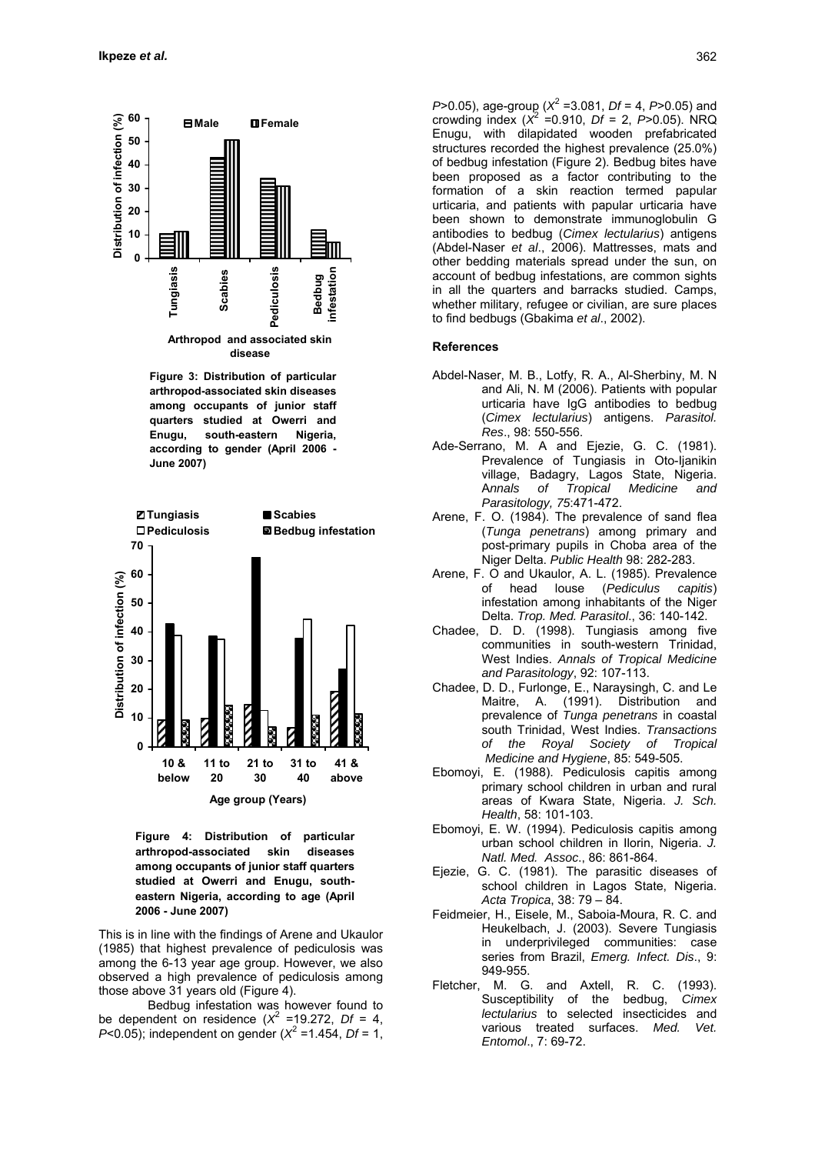

**Figure 3: Distribution of particular arthropod-associated skin diseases among occupants of junior staff quarters studied at Owerri and Enugu, south-eastern Nigeria, according to gender (April 2006 - June 2007)**



**Figure 4: Distribution of particular arthropod-associated skin diseases among occupants of junior staff quarters studied at Owerri and Enugu, southeastern Nigeria, according to age (April 2006 - June 2007)**

This is in line with the findings of Arene and Ukaulor (1985) that highest prevalence of pediculosis was among the 6-13 year age group. However, we also observed a high prevalence of pediculosis among those above 31 years old (Figure 4).

Bedbug infestation was however found to be dependent on residence  $(X^2 = 19.272, Df = 4,$ *P*<0.05); independent on gender ( $X^2$  =1.454, *Df* = 1,

*P*>0.05), age-group (*X*<sup>2</sup> =3.081, *Df* = 4, *P*>0.05) and crowding index  $(X^2 = 0.910, Df = 2, P > 0.05)$ . NRQ Enugu, with dilapidated wooden prefabricated structures recorded the highest prevalence (25.0%) of bedbug infestation (Figure 2). Bedbug bites have been proposed as a factor contributing to the formation of a skin reaction termed papular urticaria, and patients with papular urticaria have been shown to demonstrate immunoglobulin G antibodies to bedbug (*Cimex lectularius*) antigens (Abdel-Naser *et al*., 2006). Mattresses, mats and other bedding materials spread under the sun, on account of bedbug infestations, are common sights in all the quarters and barracks studied. Camps, whether military, refugee or civilian, are sure places to find bedbugs (Gbakima *et al*., 2002).

#### **References**

- Abdel-Naser, M. B., Lotfy, R. A., Al-Sherbiny, M. N and Ali, N. M (2006). Patients with popular urticaria have IgG antibodies to bedbug (*Cimex lectularius*) antigens. *Parasitol. Res*., 98: 550-556.
- Ade-Serrano, M. A and Ejezie, G. C. (1981). Prevalence of Tungiasis in Oto-Ijanikin village, Badagry, Lagos State, Nigeria. A*nnals of Tropical Medicine and Parasitology, 75*:471-472.
- Arene, F. O. (1984). The prevalence of sand flea (*Tunga penetrans*) among primary and post-primary pupils in Choba area of the Niger Delta. *Public Health* 98: 282-283.
- Arene, F. O and Ukaulor, A. L. (1985). Prevalence of head louse (*Pediculus capitis*) infestation among inhabitants of the Niger Delta. *Trop. Med. Parasitol*., 36: 140-142.
- Chadee, D. D. (1998). Tungiasis among five communities in south-western Trinidad, West Indies. *Annals of Tropical Medicine and Parasitology*, 92: 107-113.
- Chadee, D. D., Furlonge, E., Naraysingh, C. and Le Maitre, A. (1991). Distribution and prevalence of *Tunga penetrans* in coastal south Trinidad, West Indies. *Transactions of the Royal Society of Tropical Medicine and Hygiene*, 85: 549-505.
- Ebomoyi, E. (1988). Pediculosis capitis among primary school children in urban and rural areas of Kwara State, Nigeria. *J. Sch. Health*, 58: 101-103.
- Ebomoyi, E. W. (1994). Pediculosis capitis among urban school children in Ilorin, Nigeria. *J. Natl. Med. Assoc*., 86: 861-864.
- Ejezie, G. C. (1981). The parasitic diseases of school children in Lagos State, Nigeria. *Acta Tropica*, 38: 79 – 84.
- Feidmeier, H., Eisele, M., Saboia-Moura, R. C. and Heukelbach, J. (2003). Severe Tungiasis in underprivileged communities: case series from Brazil, *Emerg. Infect. Dis*., 9: 949-955.<br>Fletcher, M. G
- M. G. and Axtell, R. C. (1993). Susceptibility of the bedbug, *Cimex lectularius* to selected insecticides and various treated surfaces. *Med. Vet. Entomol*., 7: 69-72.